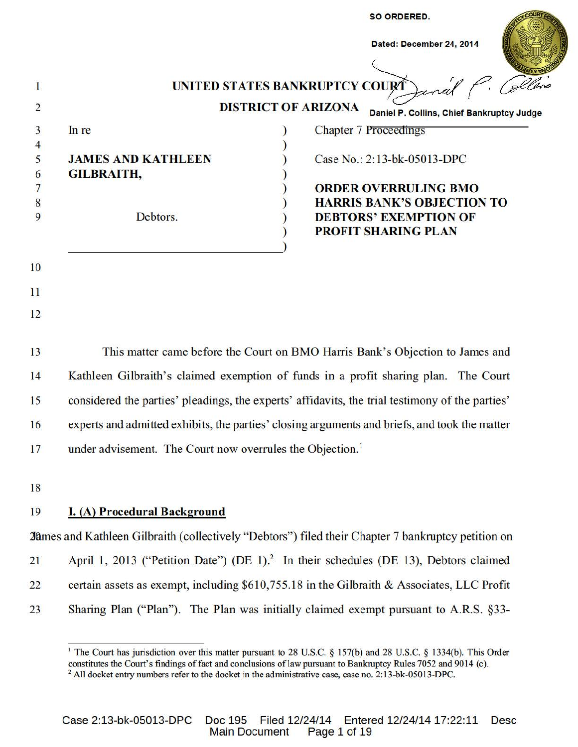|                |                           | <b>SO ORDERED.</b>                                                      |  |
|----------------|---------------------------|-------------------------------------------------------------------------|--|
|                |                           | Dated: December 24, 2014                                                |  |
|                |                           |                                                                         |  |
|                |                           | UNITED STATES BANKRUPTCY COURT                                          |  |
| $\overline{2}$ |                           | <b>DISTRICT OF ARIZONA</b><br>Daniel P. Collins, Chief Bankruptcy Judge |  |
| 3              | In re                     | <b>Chapter 7 Proceedings</b>                                            |  |
| $\overline{4}$ |                           |                                                                         |  |
| 5              | <b>JAMES AND KATHLEEN</b> | Case No.: 2:13-bk-05013-DPC                                             |  |
| 6              | <b>GILBRAITH,</b>         |                                                                         |  |
|                |                           | <b>ORDER OVERRULING BMO</b>                                             |  |
| 8              |                           | <b>HARRIS BANK'S OBJECTION TO</b>                                       |  |
| 9              | Debtors.                  | <b>DEBTORS' EXEMPTION OF</b>                                            |  |
|                |                           | <b>PROFIT SHARING PLAN</b>                                              |  |
|                |                           |                                                                         |  |

- 10
- 11
- 12

This matter came before the Court on BMO Harris Bank's Objection to James and 13 14 Kathleen Gilbraith's claimed exemption of funds in a profit sharing plan. The Court considered the parties' pleadings, the experts' affidavits, the trial testimony of the parties' 15 experts and admitted exhibits, the parties' closing arguments and briefs, and took the matter 16 under advisement. The Court now overrules the Objection.<sup>1</sup> 17

18

#### 19 **I. (A) Procedural Background**

**20** 20 ames and Kathleen Gilbraith (collectively "Debtors") filed their Chapter 7 bankruptcy petition on April 1, 2013 ("Petition Date") (DE 1).<sup>2</sup> In their schedules (DE 13), Debtors claimed  $21$ 22 certain assets as exempt, including \$610,755.18 in the Gilbraith & Associates, LLC Profit  $23$ Sharing Plan ("Plan"). The Plan was initially claimed exempt pursuant to A.R.S. §33-

<sup>&</sup>lt;sup>1</sup> The Court has jurisdiction over this matter pursuant to 28 U.S.C. § 157(b) and 28 U.S.C. § 1334(b). This Order constitutes the Court's findings of fact and conclusions of law pursuant to Bankruptcy Rules 7052 and 9014 (c). <sup>2</sup> All docket entry numbers refer to the docket in the administrative case, case no. 2:13-bk-05013-DPC.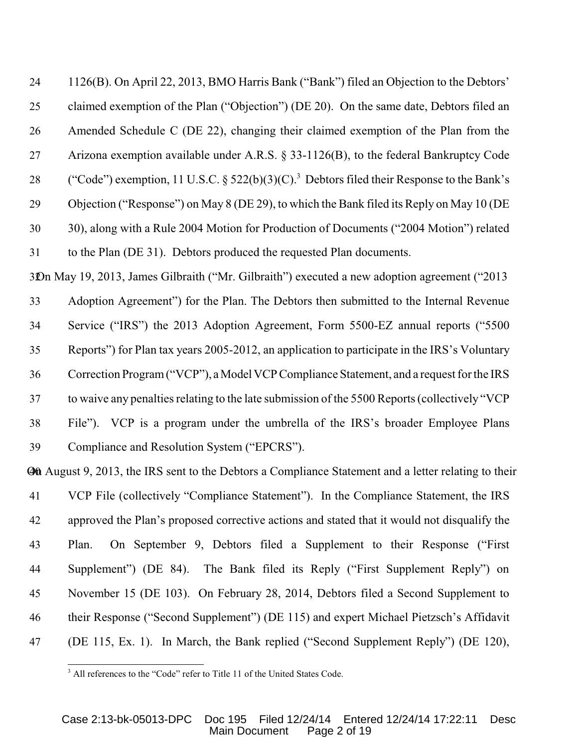1126(B). On April 22, 2013, BMO Harris Bank ("Bank") filed an Objection to the Debtors' claimed exemption of the Plan ("Objection") (DE 20). On the same date, Debtors filed an Amended Schedule C (DE 22), changing their claimed exemption of the Plan from the Arizona exemption available under A.R.S. § 33-1126(B), to the federal Bankruptcy Code 28 ("Code") exemption, 11 U.S.C.  $\S 522(b)(3)(C)$ .<sup>3</sup> Debtors filed their Response to the Bank's Objection ("Response") on May 8 (DE 29), to which the Bank filed its Reply on May 10 (DE 30), along with a Rule 2004 Motion for Production of Documents ("2004 Motion") related to the Plan (DE 31). Debtors produced the requested Plan documents.

On May 19, 2013, James Gilbraith ("Mr. Gilbraith") executed a new adoption agreement ("2013 Adoption Agreement") for the Plan. The Debtors then submitted to the Internal Revenue Service ("IRS") the 2013 Adoption Agreement, Form 5500-EZ annual reports ("5500 Reports") for Plan tax years 2005-2012, an application to participate in the IRS's Voluntary Correction Program ("VCP"), a Model VCP Compliance Statement, and a request for the IRS to waive any penalties relating to the late submission of the 5500 Reports (collectively "VCP File"). VCP is a program under the umbrella of the IRS's broader Employee Plans Compliance and Resolution System ("EPCRS").

**Of August 9, 2013, the IRS sent to the Debtors a Compliance Statement and a letter relating to their**  VCP File (collectively "Compliance Statement"). In the Compliance Statement, the IRS approved the Plan's proposed corrective actions and stated that it would not disqualify the Plan. On September 9, Debtors filed a Supplement to their Response ("First Supplement") (DE 84). The Bank filed its Reply ("First Supplement Reply") on November 15 (DE 103). On February 28, 2014, Debtors filed a Second Supplement to their Response ("Second Supplement") (DE 115) and expert Michael Pietzsch's Affidavit (DE 115, Ex. 1). In March, the Bank replied ("Second Supplement Reply") (DE 120),

<sup>&</sup>lt;sup>3</sup> All references to the "Code" refer to Title 11 of the United States Code.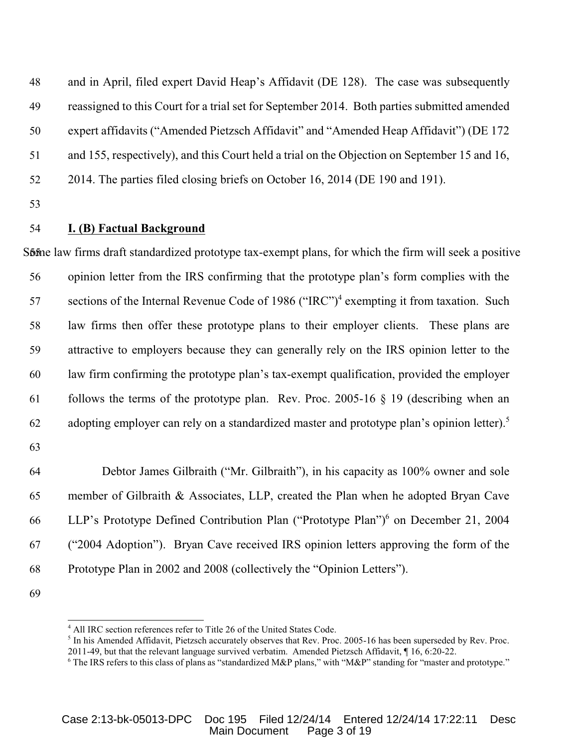and in April, filed expert David Heap's Affidavit (DE 128). The case was subsequently reassigned to this Court for a trial set for September 2014. Both parties submitted amended expert affidavits ("Amended Pietzsch Affidavit" and "Amended Heap Affidavit") (DE 172 and 155, respectively), and this Court held a trial on the Objection on September 15 and 16, 2014. The parties filed closing briefs on October 16, 2014 (DE 190 and 191).

### **I. (B) Factual Background**

S5o5me law firms draft standardized prototype tax-exempt plans, for which the firm will seek a positive opinion letter from the IRS confirming that the prototype plan's form complies with the 57 sections of the Internal Revenue Code of 1986 ("IRC")<sup>4</sup> exempting it from taxation. Such law firms then offer these prototype plans to their employer clients. These plans are attractive to employers because they can generally rely on the IRS opinion letter to the law firm confirming the prototype plan's tax-exempt qualification, provided the employer 61 follows the terms of the prototype plan. Rev. Proc. 2005-16  $\S$  19 (describing when an 62 adopting employer can rely on a standardized master and prototype plan's opinion letter).<sup>5</sup>

 Debtor James Gilbraith ("Mr. Gilbraith"), in his capacity as 100% owner and sole member of Gilbraith & Associates, LLP, created the Plan when he adopted Bryan Cave 66 LLP's Prototype Defined Contribution Plan ("Prototype Plan")<sup>6</sup> on December 21, 2004 ("2004 Adoption"). Bryan Cave received IRS opinion letters approving the form of the Prototype Plan in 2002 and 2008 (collectively the "Opinion Letters").

<sup>5</sup> In his Amended Affidavit, Pietzsch accurately observes that Rev. Proc. 2005-16 has been superseded by Rev. Proc. 2011-49, but that the relevant language survived verbatim. Amended Pietzsch Affidavit, ¶ 16, 6:20-22.

<sup>&</sup>lt;sup>4</sup> All IRC section references refer to Title 26 of the United States Code.

The IRS refers to this class of plans as "standardized M&P plans," with "M&P" standing for "master and prototype."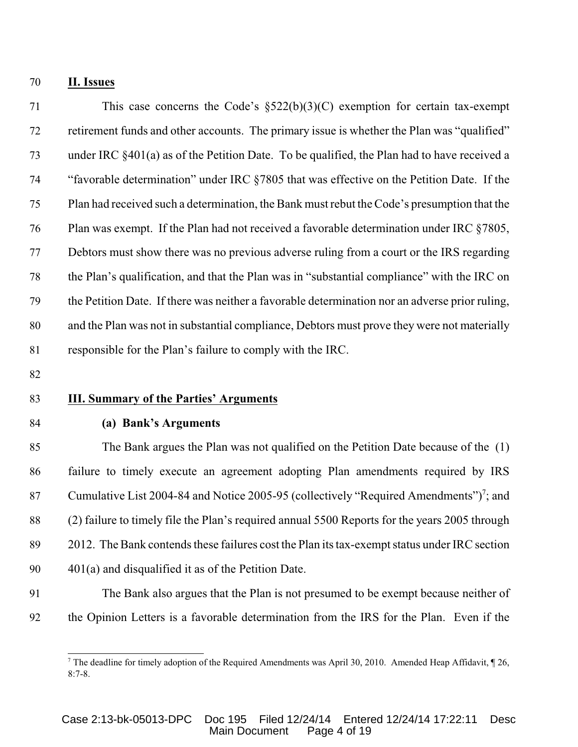#### **II. Issues**

 This case concerns the Code's §522(b)(3)(C) exemption for certain tax-exempt retirement funds and other accounts. The primary issue is whether the Plan was "qualified" under IRC §401(a) as of the Petition Date. To be qualified, the Plan had to have received a "favorable determination" under IRC §7805 that was effective on the Petition Date. If the Plan had received such a determination, the Bank must rebut the Code's presumption that the Plan was exempt. If the Plan had not received a favorable determination under IRC §7805, Debtors must show there was no previous adverse ruling from a court or the IRS regarding the Plan's qualification, and that the Plan was in "substantial compliance" with the IRC on the Petition Date. If there was neither a favorable determination nor an adverse prior ruling, and the Plan was not in substantial compliance, Debtors must prove they were not materially responsible for the Plan's failure to comply with the IRC.

### **III. Summary of the Parties' Arguments**

### **(a) Bank's Arguments**

 The Bank argues the Plan was not qualified on the Petition Date because of the (1) failure to timely execute an agreement adopting Plan amendments required by IRS 87 Cumulative List 2004-84 and Notice 2005-95 (collectively "Required Amendments")<sup>7</sup>; and (2) failure to timely file the Plan's required annual 5500 Reports for the years 2005 through 2012. The Bank contends these failures cost the Plan its tax-exempt status under IRC section 401(a) and disqualified it as of the Petition Date.

 The Bank also argues that the Plan is not presumed to be exempt because neither of the Opinion Letters is a favorable determination from the IRS for the Plan. Even if the

<sup>&</sup>lt;sup>7</sup> The deadline for timely adoption of the Required Amendments was April 30, 2010. Amended Heap Affidavit,  $\llbracket 26$ , 8:7-8.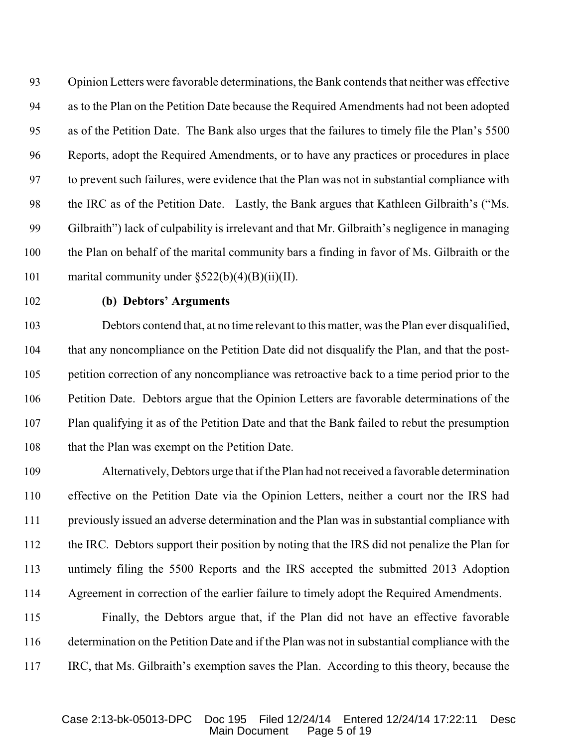Opinion Letters were favorable determinations, the Bank contends that neither was effective as to the Plan on the Petition Date because the Required Amendments had not been adopted as of the Petition Date. The Bank also urges that the failures to timely file the Plan's 5500 Reports, adopt the Required Amendments, or to have any practices or procedures in place to prevent such failures, were evidence that the Plan was not in substantial compliance with the IRC as of the Petition Date. Lastly, the Bank argues that Kathleen Gilbraith's ("Ms. Gilbraith") lack of culpability is irrelevant and that Mr. Gilbraith's negligence in managing the Plan on behalf of the marital community bars a finding in favor of Ms. Gilbraith or the 101 marital community under  $\S522(b)(4)(B)(ii)(II)$ .

### **(b) Debtors' Arguments**

 Debtors contend that, at no time relevant to this matter, was the Plan ever disqualified, that any noncompliance on the Petition Date did not disqualify the Plan, and that the post- petition correction of any noncompliance was retroactive back to a time period prior to the Petition Date. Debtors argue that the Opinion Letters are favorable determinations of the Plan qualifying it as of the Petition Date and that the Bank failed to rebut the presumption that the Plan was exempt on the Petition Date.

 Alternatively, Debtors urge that if the Plan had not received a favorable determination effective on the Petition Date via the Opinion Letters, neither a court nor the IRS had previously issued an adverse determination and the Plan was in substantial compliance with the IRC. Debtors support their position by noting that the IRS did not penalize the Plan for untimely filing the 5500 Reports and the IRS accepted the submitted 2013 Adoption Agreement in correction of the earlier failure to timely adopt the Required Amendments.

 Finally, the Debtors argue that, if the Plan did not have an effective favorable determination on the Petition Date and if the Plan was not in substantial compliance with the IRC, that Ms. Gilbraith's exemption saves the Plan. According to this theory, because the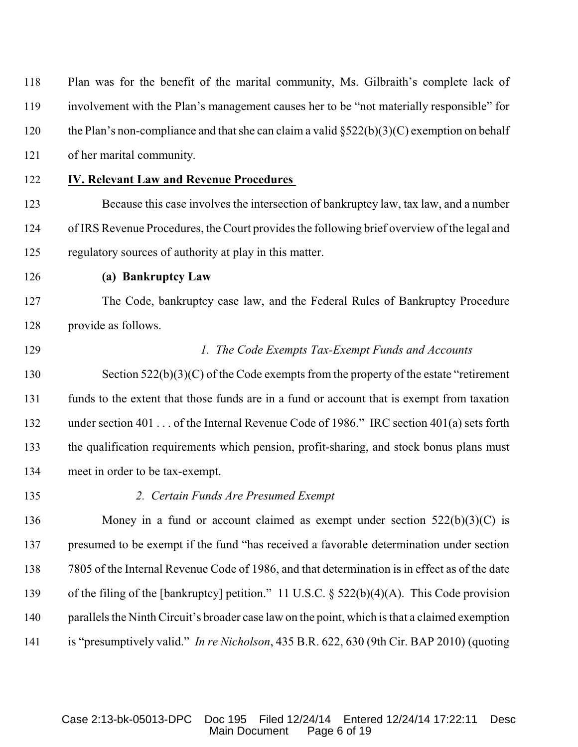| 118 | Plan was for the benefit of the marital community, Ms. Gilbraith's complete lack of            |
|-----|------------------------------------------------------------------------------------------------|
| 119 | involvement with the Plan's management causes her to be "not materially responsible" for       |
| 120 | the Plan's non-compliance and that she can claim a valid $\S522(b)(3)(C)$ exemption on behalf  |
| 121 | of her marital community.                                                                      |
| 122 | <b>IV. Relevant Law and Revenue Procedures</b>                                                 |
| 123 | Because this case involves the intersection of bankruptcy law, tax law, and a number           |
| 124 | of IRS Revenue Procedures, the Court provides the following brief overview of the legal and    |
| 125 | regulatory sources of authority at play in this matter.                                        |
| 126 | (a) Bankruptcy Law                                                                             |
| 127 | The Code, bankruptcy case law, and the Federal Rules of Bankruptcy Procedure                   |
| 128 | provide as follows.                                                                            |
| 129 | 1. The Code Exempts Tax-Exempt Funds and Accounts                                              |
| 130 | Section $522(b)(3)(C)$ of the Code exempts from the property of the estate "retirement"        |
| 131 | funds to the extent that those funds are in a fund or account that is exempt from taxation     |
| 132 | under section 401  of the Internal Revenue Code of 1986." IRC section 401(a) sets forth        |
| 133 | the qualification requirements which pension, profit-sharing, and stock bonus plans must       |
| 134 | meet in order to be tax-exempt.                                                                |
| 135 | 2. Certain Funds Are Presumed Exempt                                                           |
| 136 | Money in a fund or account claimed as exempt under section $522(b)(3)(C)$ is                   |
| 137 | presumed to be exempt if the fund "has received a favorable determination under section        |
| 138 | 7805 of the Internal Revenue Code of 1986, and that determination is in effect as of the date  |
| 139 | of the filing of the [bankruptcy] petition." 11 U.S.C. $\S$ 522(b)(4)(A). This Code provision  |
| 140 | parallels the Ninth Circuit's broader case law on the point, which is that a claimed exemption |
| 141 | is "presumptively valid." In re Nicholson, 435 B.R. 622, 630 (9th Cir. BAP 2010) (quoting      |

Case 2:13-bk-05013-DPC Doc 195 Filed 12/24/14 Entered 12/24/14 17:22:11 Desc Main Document Page 6 of 19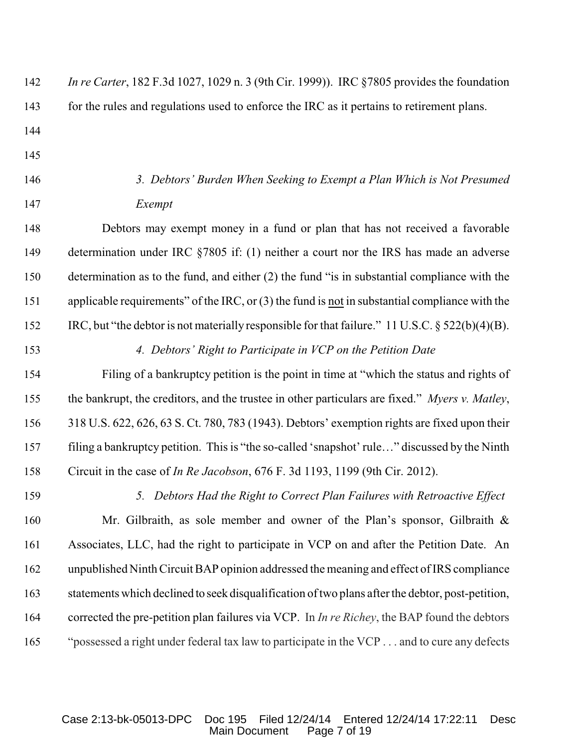| 142 | <i>In re Carter</i> , 182 F.3d 1027, 1029 n. 3 (9th Cir. 1999)). IRC §7805 provides the foundation   |
|-----|------------------------------------------------------------------------------------------------------|
| 143 | for the rules and regulations used to enforce the IRC as it pertains to retirement plans.            |
| 144 |                                                                                                      |
| 145 |                                                                                                      |
| 146 | 3. Debtors' Burden When Seeking to Exempt a Plan Which is Not Presumed                               |
| 147 | Exempt                                                                                               |
| 148 | Debtors may exempt money in a fund or plan that has not received a favorable                         |
| 149 | determination under IRC $\S$ 7805 if: (1) neither a court nor the IRS has made an adverse            |
| 150 | determination as to the fund, and either (2) the fund "is in substantial compliance with the         |
| 151 | applicable requirements" of the IRC, or $(3)$ the fund is not in substantial compliance with the     |
| 152 | IRC, but "the debtor is not materially responsible for that failure." 11 U.S.C. $\S$ 522(b)(4)(B).   |
| 153 | 4. Debtors' Right to Participate in VCP on the Petition Date                                         |
| 154 | Filing of a bankruptcy petition is the point in time at "which the status and rights of              |
| 155 | the bankrupt, the creditors, and the trustee in other particulars are fixed." Myers v. Matley,       |
| 156 | 318 U.S. 622, 626, 63 S. Ct. 780, 783 (1943). Debtors' exemption rights are fixed upon their         |
| 157 | filing a bankruptcy petition. This is "the so-called 'snapshot' rule" discussed by the Ninth         |
| 158 | Circuit in the case of <i>In Re Jacobson</i> , 676 F. 3d 1193, 1199 (9th Cir. 2012).                 |
| 159 | 5. Debtors Had the Right to Correct Plan Failures with Retroactive Effect                            |
| 160 | Mr. Gilbraith, as sole member and owner of the Plan's sponsor, Gilbraith $\&$                        |
| 161 | Associates, LLC, had the right to participate in VCP on and after the Petition Date. An              |
| 162 | unpublished Ninth Circuit BAP opinion addressed the meaning and effect of IRS compliance             |
| 163 | statements which declined to seek disqualification of two plans after the debtor, post-petition,     |
| 164 | corrected the pre-petition plan failures via VCP. In <i>In re Richey</i> , the BAP found the debtors |
| 165 | "possessed a right under federal tax law to participate in the VCP and to cure any defects           |

Case 2:13-bk-05013-DPC Doc 195 Filed 12/24/14 Entered 12/24/14 17:22:11 Desc Main Document Page 7 of 19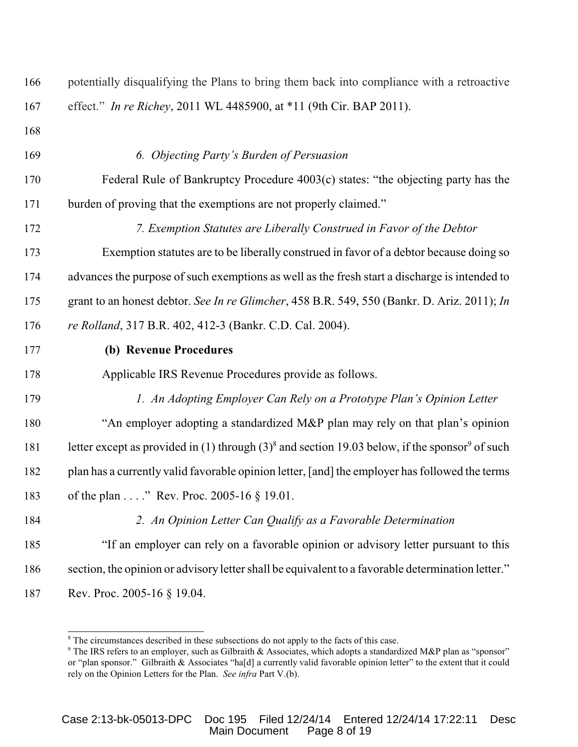| 166 | potentially disqualifying the Plans to bring them back into compliance with a retroactive                     |
|-----|---------------------------------------------------------------------------------------------------------------|
| 167 | effect." In re Richey, 2011 WL 4485900, at *11 (9th Cir. BAP 2011).                                           |
| 168 |                                                                                                               |
| 169 | 6. Objecting Party's Burden of Persuasion                                                                     |
| 170 | Federal Rule of Bankruptcy Procedure 4003(c) states: "the objecting party has the                             |
| 171 | burden of proving that the exemptions are not properly claimed."                                              |
| 172 | 7. Exemption Statutes are Liberally Construed in Favor of the Debtor                                          |
| 173 | Exemption statutes are to be liberally construed in favor of a debtor because doing so                        |
| 174 | advances the purpose of such exemptions as well as the fresh start a discharge is intended to                 |
| 175 | grant to an honest debtor. See In re Glimcher, 458 B.R. 549, 550 (Bankr. D. Ariz. 2011); In                   |
| 176 | re Rolland, 317 B.R. 402, 412-3 (Bankr. C.D. Cal. 2004).                                                      |
| 177 | (b) Revenue Procedures                                                                                        |
| 178 | Applicable IRS Revenue Procedures provide as follows.                                                         |
| 179 | 1. An Adopting Employer Can Rely on a Prototype Plan's Opinion Letter                                         |
| 180 | "An employer adopting a standardized M&P plan may rely on that plan's opinion                                 |
| 181 | letter except as provided in (1) through $(3)^8$ and section 19.03 below, if the sponsor <sup>9</sup> of such |
| 182 | plan has a currently valid favorable opinion letter, [and] the employer has followed the terms                |
| 183 | of the plan " Rev. Proc. 2005-16 $\S$ 19.01.                                                                  |
| 184 | 2. An Opinion Letter Can Qualify as a Favorable Determination                                                 |
| 185 | "If an employer can rely on a favorable opinion or advisory letter pursuant to this                           |
| 186 | section, the opinion or advisory letter shall be equivalent to a favorable determination letter."             |
| 187 | Rev. Proc. 2005-16 § 19.04.                                                                                   |

<sup>&</sup>lt;sup>8</sup> The circumstances described in these subsections do not apply to the facts of this case.

The IRS refers to an employer, such as Gilbraith & Associates, which adopts a standardized M&P plan as "sponsor" or "plan sponsor." Gilbraith & Associates "ha[d] a currently valid favorable opinion letter" to the extent that it could rely on the Opinion Letters for the Plan. *See infra* Part V.(b).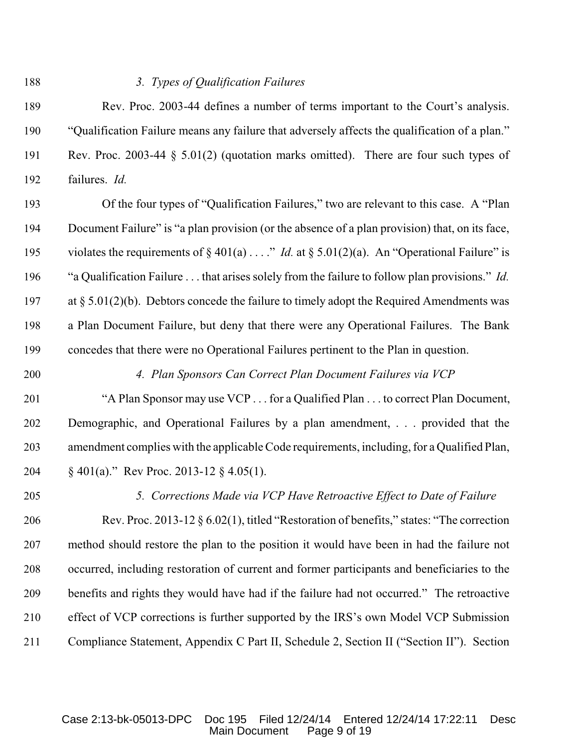#### *3. Types of Qualification Failures*

 Rev. Proc. 2003-44 defines a number of terms important to the Court's analysis. "Qualification Failure means any failure that adversely affects the qualification of a plan." Rev. Proc. 2003-44 § 5.01(2) (quotation marks omitted). There are four such types of failures. *Id.*

 Of the four types of "Qualification Failures," two are relevant to this case. A "Plan Document Failure" is "a plan provision (or the absence of a plan provision) that, on its face, violates the requirements of § 401(a) . . . ." *Id.* at § 5.01(2)(a). An "Operational Failure" is "a Qualification Failure . . . that arises solely from the failure to follow plan provisions." *Id.* at § 5.01(2)(b). Debtors concede the failure to timely adopt the Required Amendments was a Plan Document Failure, but deny that there were any Operational Failures. The Bank concedes that there were no Operational Failures pertinent to the Plan in question.

### *4. Plan Sponsors Can Correct Plan Document Failures via VCP*

 "A Plan Sponsor may use VCP . . . for a Qualified Plan . . . to correct Plan Document, Demographic, and Operational Failures by a plan amendment, . . . provided that the amendment complies with the applicable Code requirements, including, for a Qualified Plan, § 401(a)." Rev Proc. 2013-12 § 4.05(1).

## *5. Corrections Made via VCP Have Retroactive Effect to Date of Failure*

 Rev. Proc. 2013-12 § 6.02(1), titled "Restoration of benefits," states: "The correction method should restore the plan to the position it would have been in had the failure not occurred, including restoration of current and former participants and beneficiaries to the benefits and rights they would have had if the failure had not occurred." The retroactive effect of VCP corrections is further supported by the IRS's own Model VCP Submission Compliance Statement, Appendix C Part II, Schedule 2, Section II ("Section II"). Section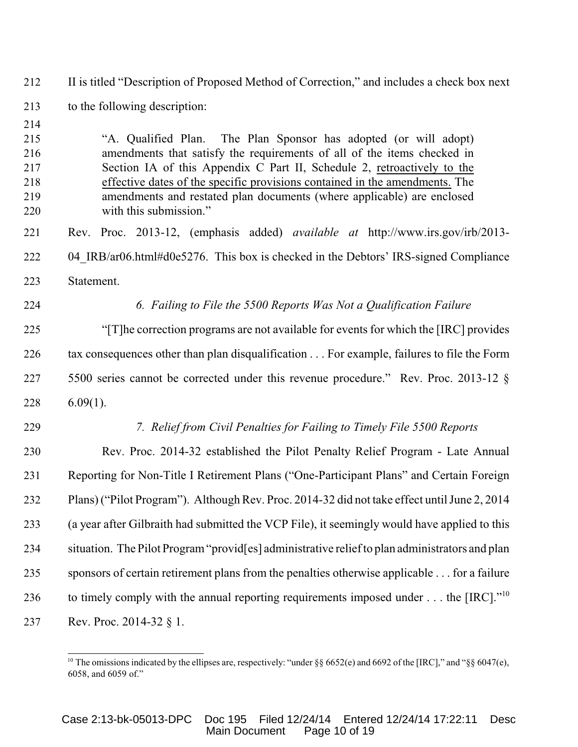II is titled "Description of Proposed Method of Correction," and includes a check box next to the following description:

 "A. Qualified Plan. The Plan Sponsor has adopted (or will adopt) amendments that satisfy the requirements of all of the items checked in Section IA of this Appendix C Part II, Schedule 2, retroactively to the effective dates of the specific provisions contained in the amendments. The amendments and restated plan documents (where applicable) are enclosed with this submission." Rev. Proc. 2013-12, (emphasis added) *available at* http://www.irs.gov/irb/2013- 222 04 IRB/ar06.html#d0e5276. This box is checked in the Debtors' IRS-signed Compliance Statement. *6. Failing to File the 5500 Reports Was Not a Qualification Failure* "[T]he correction programs are not available for events for which the [IRC] provides tax consequences other than plan disqualification . . . For example, failures to file the Form 5500 series cannot be corrected under this revenue procedure." Rev. Proc. 2013-12 § 6.09(1). *7. Relief from Civil Penalties for Failing to Timely File 5500 Reports* Rev. Proc. 2014-32 established the Pilot Penalty Relief Program - Late Annual Reporting for Non-Title I Retirement Plans ("One-Participant Plans" and Certain Foreign Plans) ("Pilot Program"). Although Rev. Proc. 2014-32 did not take effect until June 2, 2014 (a year after Gilbraith had submitted the VCP File), it seemingly would have applied to this situation. The Pilot Program "provid[es] administrative relief to plan administrators and plan sponsors of certain retirement plans from the penalties otherwise applicable . . . for a failure 236 to timely comply with the annual reporting requirements imposed under  $\dots$  the [IRC].<sup> $10$ </sup> Rev. Proc. 2014-32 § 1.

<sup>&</sup>lt;sup>10</sup> The omissions indicated by the ellipses are, respectively: "under §§ 6652(e) and 6692 of the [IRC]," and "§§ 6047(e), 6058, and 6059 of."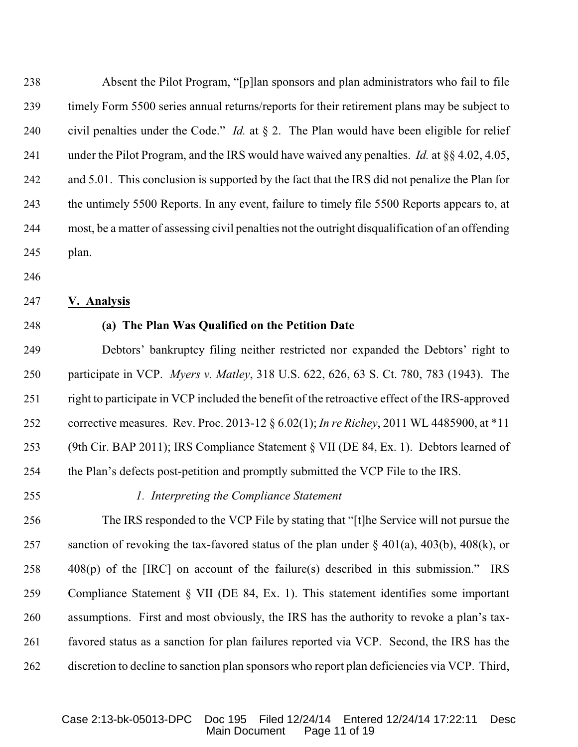Absent the Pilot Program, "[p]lan sponsors and plan administrators who fail to file timely Form 5500 series annual returns/reports for their retirement plans may be subject to civil penalties under the Code." *Id.* at § 2. The Plan would have been eligible for relief under the Pilot Program, and the IRS would have waived any penalties. *Id.* at §§ 4.02, 4.05, 242 and 5.01. This conclusion is supported by the fact that the IRS did not penalize the Plan for the untimely 5500 Reports. In any event, failure to timely file 5500 Reports appears to, at most, be a matter of assessing civil penalties not the outright disqualification of an offending plan.

- 
- **V. Analysis**
- 

### **(a) The Plan Was Qualified on the Petition Date**

 Debtors' bankruptcy filing neither restricted nor expanded the Debtors' right to participate in VCP. *Myers v. Matley*, 318 U.S. 622, 626, 63 S. Ct. 780, 783 (1943). The right to participate in VCP included the benefit of the retroactive effect of the IRS-approved corrective measures. Rev. Proc. 2013-12 § 6.02(1); *In re Richey*, 2011 WL 4485900, at \*11 (9th Cir. BAP 2011); IRS Compliance Statement § VII (DE 84, Ex. 1). Debtors learned of the Plan's defects post-petition and promptly submitted the VCP File to the IRS.

*1. Interpreting the Compliance Statement*

 The IRS responded to the VCP File by stating that "[t]he Service will not pursue the 257 sanction of revoking the tax-favored status of the plan under  $\S$  401(a), 403(b), 408(k), or 408(p) of the [IRC] on account of the failure(s) described in this submission." IRS Compliance Statement § VII (DE 84, Ex. 1). This statement identifies some important assumptions. First and most obviously, the IRS has the authority to revoke a plan's tax- favored status as a sanction for plan failures reported via VCP. Second, the IRS has the discretion to decline to sanction plan sponsors who report plan deficiencies via VCP. Third,

#### Case 2:13-bk-05013-DPC Doc 195 Filed 12/24/14 Entered 12/24/14 17:22:11 Desc Main Document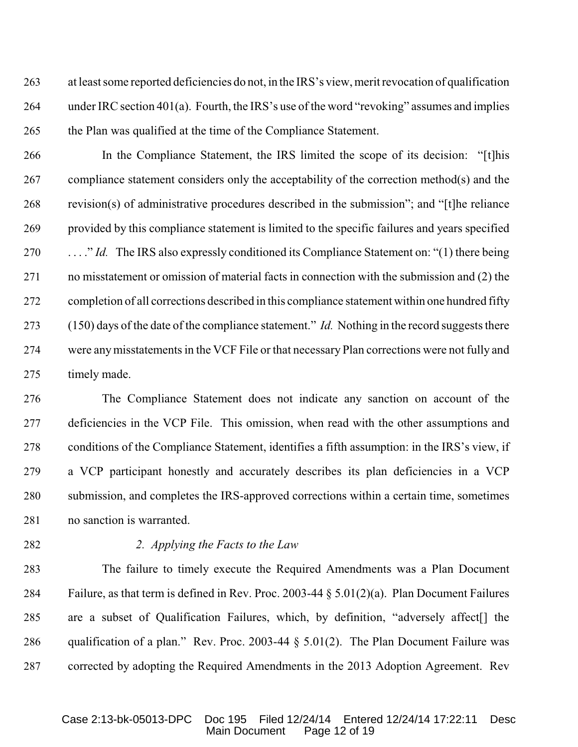at least some reported deficiencies do not, in the IRS's view, merit revocation of qualification under IRC section 401(a). Fourth, the IRS's use of the word "revoking" assumes and implies the Plan was qualified at the time of the Compliance Statement.

 In the Compliance Statement, the IRS limited the scope of its decision: "[t]his compliance statement considers only the acceptability of the correction method(s) and the revision(s) of administrative procedures described in the submission"; and "[t]he reliance provided by this compliance statement is limited to the specific failures and years specified . . . ." *Id.* The IRS also expressly conditioned its Compliance Statement on: "(1) there being no misstatement or omission of material facts in connection with the submission and (2) the completion of all corrections described in this compliance statement within one hundred fifty (150) days of the date of the compliance statement." *Id.* Nothing in the record suggests there were any misstatements in the VCF File or that necessary Plan corrections were not fully and timely made.

 The Compliance Statement does not indicate any sanction on account of the deficiencies in the VCP File. This omission, when read with the other assumptions and conditions of the Compliance Statement, identifies a fifth assumption: in the IRS's view, if a VCP participant honestly and accurately describes its plan deficiencies in a VCP submission, and completes the IRS-approved corrections within a certain time, sometimes no sanction is warranted.

### *2. Applying the Facts to the Law*

 The failure to timely execute the Required Amendments was a Plan Document Failure, as that term is defined in Rev. Proc. 2003-44 § 5.01(2)(a). Plan Document Failures are a subset of Qualification Failures, which, by definition, "adversely affect[] the 286 qualification of a plan." Rev. Proc. 2003-44  $\S 5.01(2)$ . The Plan Document Failure was corrected by adopting the Required Amendments in the 2013 Adoption Agreement. Rev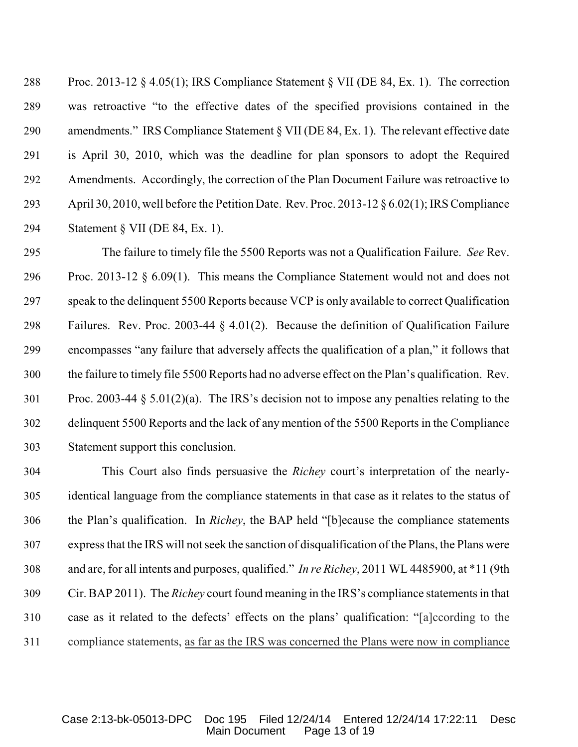Proc. 2013-12 § 4.05(1); IRS Compliance Statement § VII (DE 84, Ex. 1). The correction was retroactive "to the effective dates of the specified provisions contained in the amendments." IRS Compliance Statement § VII (DE 84, Ex. 1). The relevant effective date is April 30, 2010, which was the deadline for plan sponsors to adopt the Required Amendments. Accordingly, the correction of the Plan Document Failure was retroactive to April 30, 2010, well before the Petition Date. Rev. Proc. 2013-12 § 6.02(1); IRS Compliance Statement § VII (DE 84, Ex. 1).

 The failure to timely file the 5500 Reports was not a Qualification Failure. *See* Rev. Proc. 2013-12 § 6.09(1). This means the Compliance Statement would not and does not speak to the delinquent 5500 Reports because VCP is only available to correct Qualification Failures. Rev. Proc. 2003-44 § 4.01(2). Because the definition of Qualification Failure encompasses "any failure that adversely affects the qualification of a plan," it follows that the failure to timely file 5500 Reports had no adverse effect on the Plan's qualification. Rev. Proc. 2003-44 § 5.01(2)(a). The IRS's decision not to impose any penalties relating to the delinquent 5500 Reports and the lack of any mention of the 5500 Reports in the Compliance Statement support this conclusion.

 This Court also finds persuasive the *Richey* court's interpretation of the nearly- identical language from the compliance statements in that case as it relates to the status of the Plan's qualification. In *Richey*, the BAP held "[b]ecause the compliance statements express that the IRS will not seek the sanction of disqualification of the Plans, the Plans were and are, for all intents and purposes, qualified." *In re Richey*, 2011 WL 4485900, at \*11 (9th Cir. BAP 2011). The *Richey* court found meaning in the IRS's compliance statements in that case as it related to the defects' effects on the plans' qualification: "[a]ccording to the compliance statements, as far as the IRS was concerned the Plans were now in compliance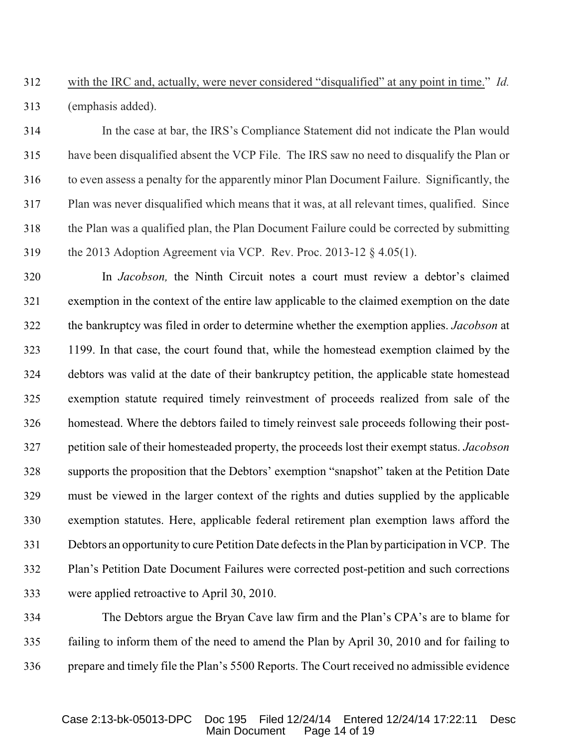# with the IRC and, actually, were never considered "disqualified" at any point in time." *Id.* (emphasis added).

 In the case at bar, the IRS's Compliance Statement did not indicate the Plan would have been disqualified absent the VCP File. The IRS saw no need to disqualify the Plan or to even assess a penalty for the apparently minor Plan Document Failure. Significantly, the Plan was never disqualified which means that it was, at all relevant times, qualified. Since the Plan was a qualified plan, the Plan Document Failure could be corrected by submitting the 2013 Adoption Agreement via VCP. Rev. Proc. 2013-12 § 4.05(1).

 In *Jacobson,* the Ninth Circuit notes a court must review a debtor's claimed exemption in the context of the entire law applicable to the claimed exemption on the date the bankruptcy was filed in order to determine whether the exemption applies. *Jacobson* at 1199. In that case, the court found that, while the homestead exemption claimed by the debtors was valid at the date of their bankruptcy petition, the applicable state homestead exemption statute required timely reinvestment of proceeds realized from sale of the homestead. Where the debtors failed to timely reinvest sale proceeds following their post- petition sale of their homesteaded property, the proceeds lost their exempt status. *Jacobson* supports the proposition that the Debtors' exemption "snapshot" taken at the Petition Date must be viewed in the larger context of the rights and duties supplied by the applicable exemption statutes. Here, applicable federal retirement plan exemption laws afford the Debtors an opportunity to cure Petition Date defects in the Plan by participation in VCP. The Plan's Petition Date Document Failures were corrected post-petition and such corrections were applied retroactive to April 30, 2010.

 The Debtors argue the Bryan Cave law firm and the Plan's CPA's are to blame for failing to inform them of the need to amend the Plan by April 30, 2010 and for failing to prepare and timely file the Plan's 5500 Reports. The Court received no admissible evidence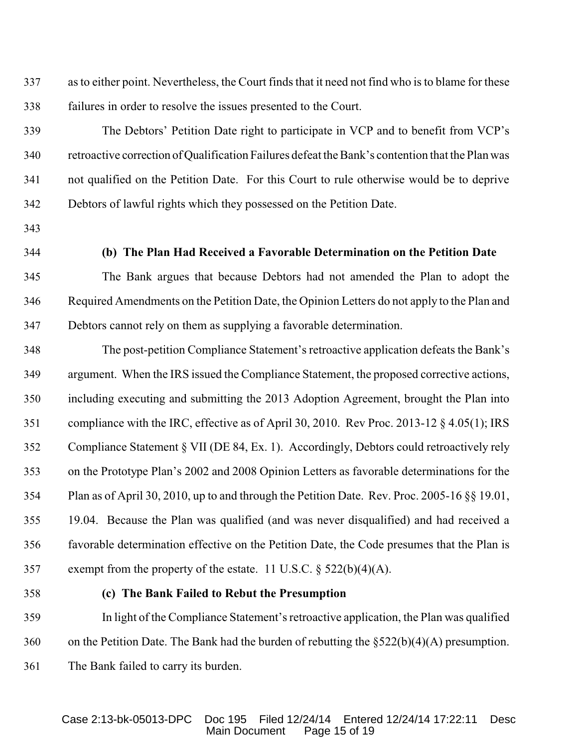as to either point. Nevertheless, the Court finds that it need not find who is to blame for these failures in order to resolve the issues presented to the Court.

 The Debtors' Petition Date right to participate in VCP and to benefit from VCP's retroactive correction of Qualification Failures defeat the Bank's contention that the Plan was not qualified on the Petition Date. For this Court to rule otherwise would be to deprive Debtors of lawful rights which they possessed on the Petition Date.

- 
- 

### **(b) The Plan Had Received a Favorable Determination on the Petition Date**

 The Bank argues that because Debtors had not amended the Plan to adopt the Required Amendments on the Petition Date, the Opinion Letters do not apply to the Plan and Debtors cannot rely on them as supplying a favorable determination.

 The post-petition Compliance Statement's retroactive application defeats the Bank's argument. When the IRS issued the Compliance Statement, the proposed corrective actions, including executing and submitting the 2013 Adoption Agreement, brought the Plan into compliance with the IRC, effective as of April 30, 2010. Rev Proc. 2013-12 § 4.05(1); IRS Compliance Statement § VII (DE 84, Ex. 1). Accordingly, Debtors could retroactively rely on the Prototype Plan's 2002 and 2008 Opinion Letters as favorable determinations for the Plan as of April 30, 2010, up to and through the Petition Date. Rev. Proc. 2005-16 §§ 19.01, 19.04. Because the Plan was qualified (and was never disqualified) and had received a favorable determination effective on the Petition Date, the Code presumes that the Plan is exempt from the property of the estate. 11 U.S.C. § 522(b)(4)(A).

#### **(c) The Bank Failed to Rebut the Presumption**

 In light of the Compliance Statement's retroactive application, the Plan was qualified on the Petition Date. The Bank had the burden of rebutting the §522(b)(4)(A) presumption. The Bank failed to carry its burden.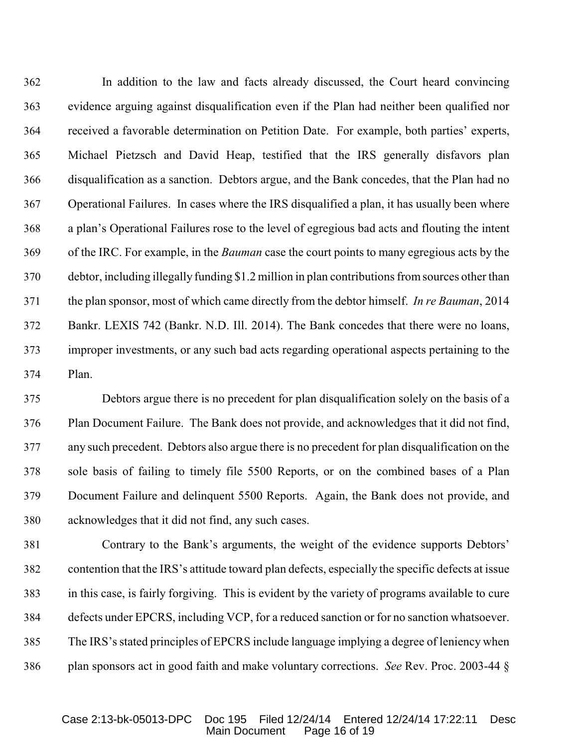In addition to the law and facts already discussed, the Court heard convincing evidence arguing against disqualification even if the Plan had neither been qualified nor received a favorable determination on Petition Date. For example, both parties' experts, Michael Pietzsch and David Heap, testified that the IRS generally disfavors plan disqualification as a sanction. Debtors argue, and the Bank concedes, that the Plan had no Operational Failures. In cases where the IRS disqualified a plan, it has usually been where a plan's Operational Failures rose to the level of egregious bad acts and flouting the intent of the IRC. For example, in the *Bauman* case the court points to many egregious acts by the debtor, including illegally funding \$1.2 million in plan contributions from sources other than the plan sponsor, most of which came directly from the debtor himself. *In re Bauman*, 2014 Bankr. LEXIS 742 (Bankr. N.D. Ill. 2014). The Bank concedes that there were no loans, improper investments, or any such bad acts regarding operational aspects pertaining to the Plan.

 Debtors argue there is no precedent for plan disqualification solely on the basis of a Plan Document Failure. The Bank does not provide, and acknowledges that it did not find, any such precedent. Debtors also argue there is no precedent for plan disqualification on the sole basis of failing to timely file 5500 Reports, or on the combined bases of a Plan Document Failure and delinquent 5500 Reports. Again, the Bank does not provide, and acknowledges that it did not find, any such cases.

 Contrary to the Bank's arguments, the weight of the evidence supports Debtors' contention that the IRS's attitude toward plan defects, especially the specific defects at issue in this case, is fairly forgiving. This is evident by the variety of programs available to cure defects under EPCRS, including VCP, for a reduced sanction or for no sanction whatsoever. The IRS's stated principles of EPCRS include language implying a degree of leniency when plan sponsors act in good faith and make voluntary corrections. *See* Rev. Proc. 2003-44 §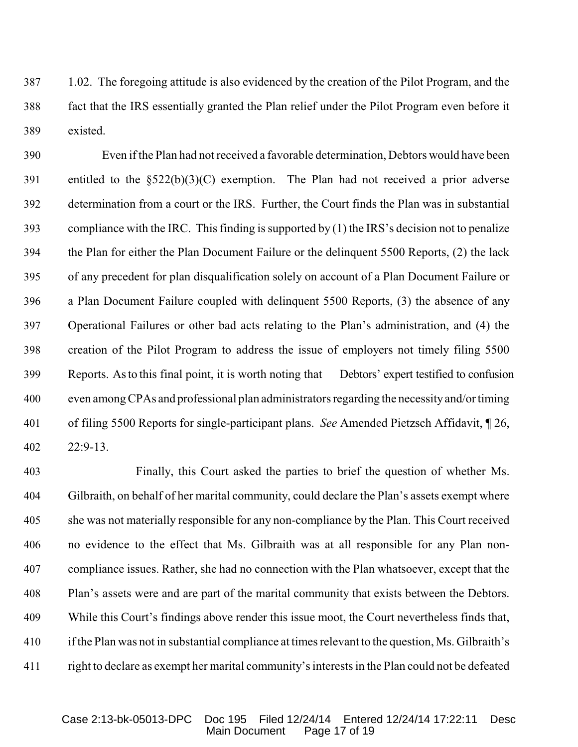1.02. The foregoing attitude is also evidenced by the creation of the Pilot Program, and the fact that the IRS essentially granted the Plan relief under the Pilot Program even before it existed.

 Even if the Plan had not received a favorable determination, Debtors would have been entitled to the §522(b)(3)(C) exemption. The Plan had not received a prior adverse determination from a court or the IRS. Further, the Court finds the Plan was in substantial compliance with the IRC. This finding is supported by (1) the IRS's decision not to penalize the Plan for either the Plan Document Failure or the delinquent 5500 Reports, (2) the lack of any precedent for plan disqualification solely on account of a Plan Document Failure or a Plan Document Failure coupled with delinquent 5500 Reports, (3) the absence of any Operational Failures or other bad acts relating to the Plan's administration, and (4) the creation of the Pilot Program to address the issue of employers not timely filing 5500 Reports. As to this final point, it is worth noting that Debtors' expert testified to confusion even among CPAs and professional plan administrators regarding the necessity and/or timing of filing 5500 Reports for single-participant plans. *See* Amended Pietzsch Affidavit, ¶ 26, 22:9-13.

 Finally, this Court asked the parties to brief the question of whether Ms. Gilbraith, on behalf of her marital community, could declare the Plan's assets exempt where she was not materially responsible for any non-compliance by the Plan. This Court received no evidence to the effect that Ms. Gilbraith was at all responsible for any Plan non- compliance issues. Rather, she had no connection with the Plan whatsoever, except that the Plan's assets were and are part of the marital community that exists between the Debtors. While this Court's findings above render this issue moot, the Court nevertheless finds that, if the Plan was not in substantial compliance at times relevant to the question, Ms. Gilbraith's right to declare as exempt her marital community's interests in the Plan could not be defeated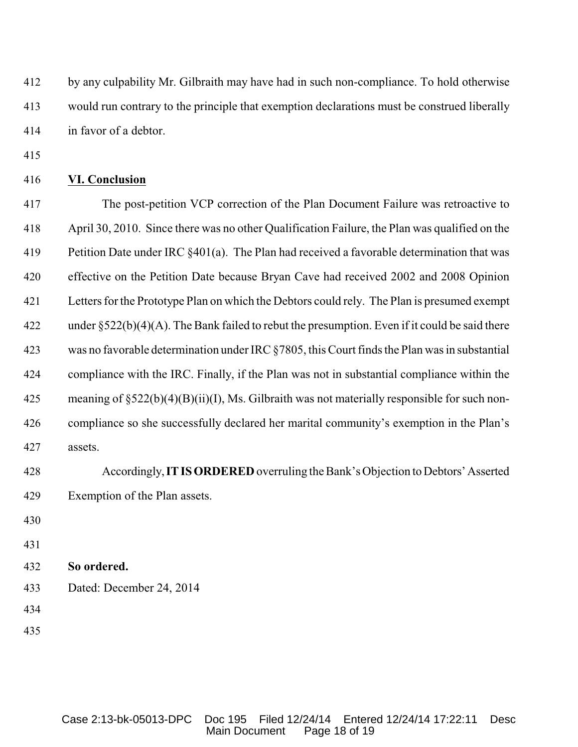by any culpability Mr. Gilbraith may have had in such non-compliance. To hold otherwise would run contrary to the principle that exemption declarations must be construed liberally in favor of a debtor.

### **VI. Conclusion**

 The post-petition VCP correction of the Plan Document Failure was retroactive to April 30, 2010. Since there was no other Qualification Failure, the Plan was qualified on the 419 Petition Date under IRC §401(a). The Plan had received a favorable determination that was effective on the Petition Date because Bryan Cave had received 2002 and 2008 Opinion Letters for the Prototype Plan on which the Debtors could rely. The Plan is presumed exempt under §522(b)(4)(A). The Bank failed to rebut the presumption. Even if it could be said there was no favorable determination under IRC §7805, this Court finds the Plan was in substantial compliance with the IRC. Finally, if the Plan was not in substantial compliance within the meaning of §522(b)(4)(B)(ii)(I), Ms. Gilbraith was not materially responsible for such non- compliance so she successfully declared her marital community's exemption in the Plan's assets.

- Accordingly, **IT IS ORDERED** overruling the Bank's Objection to Debtors' Asserted Exemption of the Plan assets.
- 
- 
- **So ordered.**
- Dated: December 24, 2014
- 
-